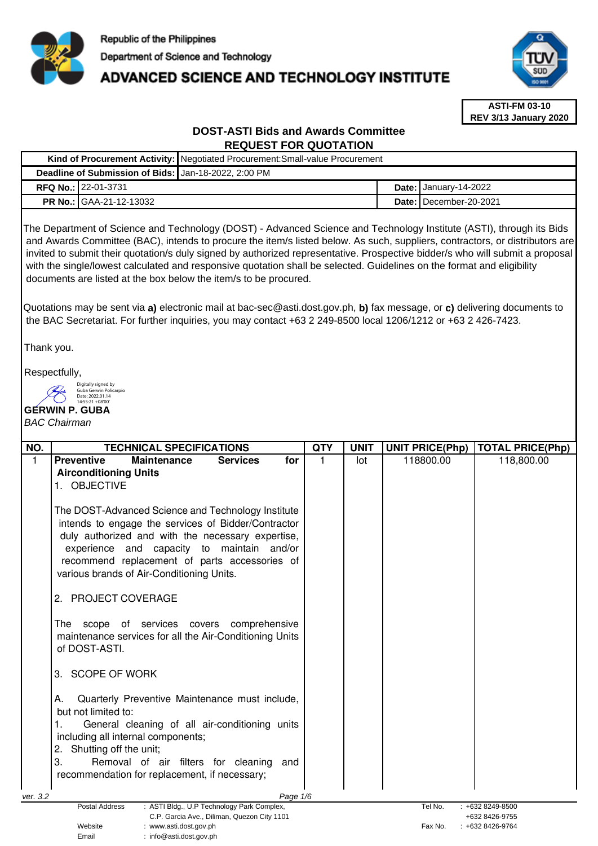

# **ADVANCED SCIENCE AND TECHNOLOGY INSTITUTE**



**ASTI-FM 03-10 REV 3/13 January 2020**

# **DOST-ASTI Bids and Awards Committee REQUEST FOR QUOTATION**

|                                                      |                                | Kind of Procurement Activity:   Negotiated Procurement: Small-value Procurement |  |                                     |
|------------------------------------------------------|--------------------------------|---------------------------------------------------------------------------------|--|-------------------------------------|
| Deadline of Submission of Bids: Jan-18-2022, 2:00 PM |                                |                                                                                 |  |                                     |
|                                                      | <b>RFQ No.: 22-01-3731</b>     |                                                                                 |  | Date: $\frac{1}{2}$ January-14-2022 |
|                                                      | <b>PR No.: GAA-21-12-13032</b> |                                                                                 |  | <b>Date: I</b> December-20-2021     |
|                                                      |                                |                                                                                 |  |                                     |

The Department of Science and Technology (DOST) - Advanced Science and Technology Institute (ASTI), through its Bids and Awards Committee (BAC), intends to procure the item/s listed below. As such, suppliers, contractors, or distributors are invited to submit their quotation/s duly signed by authorized representative. Prospective bidder/s who will submit a proposal with the single/lowest calculated and responsive quotation shall be selected. Guidelines on the format and eligibility documents are listed at the box below the item/s to be procured.

Quotations may be sent via **a)** electronic mail at bac-sec@asti.dost.gov.ph, **b)** fax message, or **c)** delivering documents to the BAC Secretariat. For further inquiries, you may contact +63 2 249-8500 local 1206/1212 or +63 2 426-7423.

Thank you.

Respectfully,

Digitally signed by Guba Gerwin Policarpio Date: 2022.01.14 14:55:21 +08'00'

# **GERWIN P. GUBA**

# BAC Chairman

| NO.      |                                                         | <b>TECHNICAL SPECIFICATIONS</b> |                                                |          | <b>QTY</b> | <b>UNIT</b> | <b>UNIT PRICE(Php)</b> | <b>TOTAL PRICE(Php)</b> |
|----------|---------------------------------------------------------|---------------------------------|------------------------------------------------|----------|------------|-------------|------------------------|-------------------------|
| 1        | <b>Preventive</b>                                       | <b>Maintenance</b>              | <b>Services</b>                                | for      | 1          | lot         | 118800.00              | 118,800.00              |
|          | <b>Airconditioning Units</b>                            |                                 |                                                |          |            |             |                        |                         |
|          | 1. OBJECTIVE                                            |                                 |                                                |          |            |             |                        |                         |
|          |                                                         |                                 |                                                |          |            |             |                        |                         |
|          | The DOST-Advanced Science and Technology Institute      |                                 |                                                |          |            |             |                        |                         |
|          | intends to engage the services of Bidder/Contractor     |                                 |                                                |          |            |             |                        |                         |
|          | duly authorized and with the necessary expertise,       |                                 |                                                |          |            |             |                        |                         |
|          | experience and capacity to maintain and/or              |                                 |                                                |          |            |             |                        |                         |
|          | recommend replacement of parts accessories of           |                                 |                                                |          |            |             |                        |                         |
|          | various brands of Air-Conditioning Units.               |                                 |                                                |          |            |             |                        |                         |
|          |                                                         |                                 |                                                |          |            |             |                        |                         |
|          | 2. PROJECT COVERAGE                                     |                                 |                                                |          |            |             |                        |                         |
|          |                                                         |                                 |                                                |          |            |             |                        |                         |
|          | The scope of services covers comprehensive              |                                 |                                                |          |            |             |                        |                         |
|          | maintenance services for all the Air-Conditioning Units |                                 |                                                |          |            |             |                        |                         |
|          | of DOST-ASTI.                                           |                                 |                                                |          |            |             |                        |                         |
|          |                                                         |                                 |                                                |          |            |             |                        |                         |
|          | <b>SCOPE OF WORK</b><br>3.                              |                                 |                                                |          |            |             |                        |                         |
|          |                                                         |                                 |                                                |          |            |             |                        |                         |
|          | А.                                                      |                                 | Quarterly Preventive Maintenance must include, |          |            |             |                        |                         |
|          | but not limited to:                                     |                                 |                                                |          |            |             |                        |                         |
|          |                                                         |                                 | General cleaning of all air-conditioning units |          |            |             |                        |                         |
|          | including all internal components;                      |                                 |                                                |          |            |             |                        |                         |
|          | Shutting off the unit;<br>2.                            |                                 |                                                |          |            |             |                        |                         |
|          | 3.                                                      |                                 | Removal of air filters for cleaning            | and      |            |             |                        |                         |
|          | recommendation for replacement, if necessary;           |                                 |                                                |          |            |             |                        |                         |
|          |                                                         |                                 |                                                |          |            |             |                        |                         |
| ver. 3.2 | <b>Postal Address</b>                                   |                                 | : ASTI Bldg., U.P Technology Park Complex,     | Page 1/6 |            |             | Tel No.                | +632 8249-8500          |
|          |                                                         |                                 | C.P. Garcia Ave., Diliman, Quezon City 1101    |          |            |             |                        | +632 8426-9755          |

Website : www.asti.dost.gov.ph Fax No. : +632 8426-9764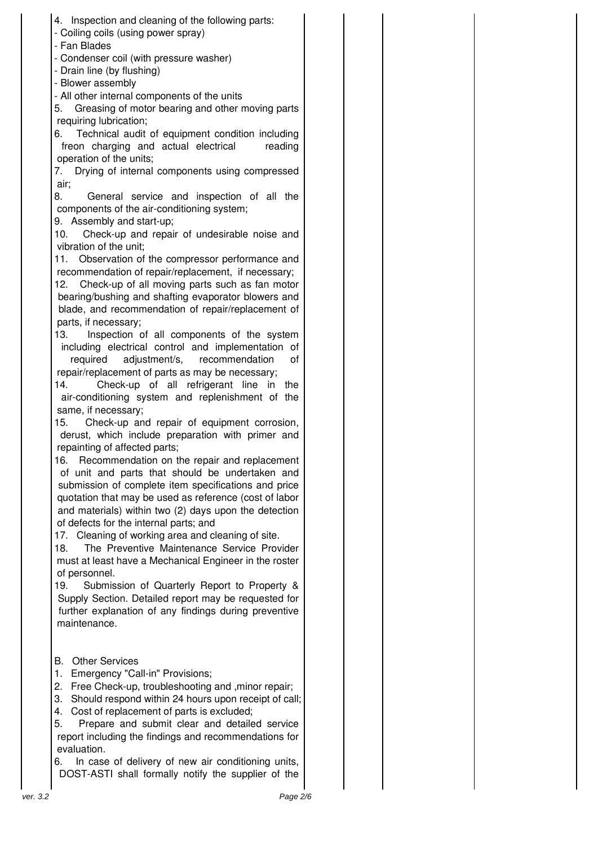|          | 4. Inspection and cleaning of the following parts:<br>- Coiling coils (using power spray)              |  |  |
|----------|--------------------------------------------------------------------------------------------------------|--|--|
|          | - Fan Blades<br>- Condenser coil (with pressure washer)<br>- Drain line (by flushing)                  |  |  |
|          | - Blower assembly                                                                                      |  |  |
|          | - All other internal components of the units                                                           |  |  |
|          | Greasing of motor bearing and other moving parts<br>5.                                                 |  |  |
|          | requiring lubrication;<br>6.                                                                           |  |  |
|          | Technical audit of equipment condition including<br>freon charging and actual electrical<br>reading    |  |  |
|          | operation of the units;                                                                                |  |  |
|          | Drying of internal components using compressed<br>7.                                                   |  |  |
|          | air;                                                                                                   |  |  |
|          | General service and inspection of all the<br>8.<br>components of the air-conditioning system;          |  |  |
|          | 9. Assembly and start-up;                                                                              |  |  |
|          | 10.<br>Check-up and repair of undesirable noise and<br>vibration of the unit;                          |  |  |
|          | 11. Observation of the compressor performance and                                                      |  |  |
|          | recommendation of repair/replacement, if necessary;                                                    |  |  |
|          | Check-up of all moving parts such as fan motor<br>12.                                                  |  |  |
|          | bearing/bushing and shafting evaporator blowers and                                                    |  |  |
|          | blade, and recommendation of repair/replacement of<br>parts, if necessary;                             |  |  |
|          | 13.<br>Inspection of all components of the system                                                      |  |  |
|          | including electrical control and implementation of                                                     |  |  |
|          | adjustment/s, recommendation<br>required<br>οf                                                         |  |  |
|          | repair/replacement of parts as may be necessary;<br>14.<br>Check-up of all refrigerant line in<br>the  |  |  |
|          | air-conditioning system and replenishment of the                                                       |  |  |
|          | same, if necessary;                                                                                    |  |  |
|          | Check-up and repair of equipment corrosion,<br>15.                                                     |  |  |
|          | derust, which include preparation with primer and                                                      |  |  |
|          | repainting of affected parts;<br>16. Recommendation on the repair and replacement                      |  |  |
|          | of unit and parts that should be undertaken and                                                        |  |  |
|          | submission of complete item specifications and price                                                   |  |  |
|          | quotation that may be used as reference (cost of labor                                                 |  |  |
|          | and materials) within two (2) days upon the detection<br>of defects for the internal parts; and        |  |  |
|          | 17. Cleaning of working area and cleaning of site.                                                     |  |  |
|          | 18.<br>The Preventive Maintenance Service Provider                                                     |  |  |
|          | must at least have a Mechanical Engineer in the roster                                                 |  |  |
|          | of personnel.<br>19.                                                                                   |  |  |
|          | Submission of Quarterly Report to Property &<br>Supply Section. Detailed report may be requested for   |  |  |
|          | further explanation of any findings during preventive                                                  |  |  |
|          | maintenance.                                                                                           |  |  |
|          |                                                                                                        |  |  |
|          | <b>Other Services</b><br>В.                                                                            |  |  |
|          | 1.<br>Emergency "Call-in" Provisions;                                                                  |  |  |
|          | 2. Free Check-up, troubleshooting and , minor repair;                                                  |  |  |
|          | Should respond within 24 hours upon receipt of call;<br>3.                                             |  |  |
|          | Cost of replacement of parts is excluded;<br>4.<br>5.<br>Prepare and submit clear and detailed service |  |  |
|          | report including the findings and recommendations for                                                  |  |  |
|          | evaluation.                                                                                            |  |  |
|          | In case of delivery of new air conditioning units,<br>6.                                               |  |  |
|          | DOST-ASTI shall formally notify the supplier of the                                                    |  |  |
| ver. 3.2 | Page 2/6                                                                                               |  |  |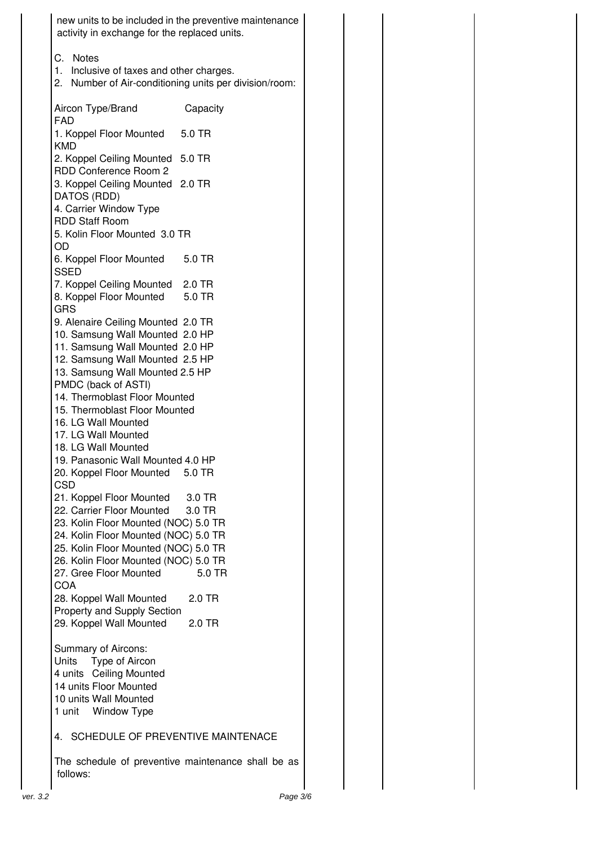| activity in exchange for the replaced units.                                                                   | new units to be included in the preventive maintenance |
|----------------------------------------------------------------------------------------------------------------|--------------------------------------------------------|
| C. Notes<br>1. Inclusive of taxes and other charges.<br>2. Number of Air-conditioning units per division/room: |                                                        |
| Aircon Type/Brand<br><b>FAD</b>                                                                                | Capacity                                               |
| 1. Koppel Floor Mounted<br><b>KMD</b>                                                                          | 5.0 TR                                                 |
| 2. Koppel Ceiling Mounted 5.0 TR<br>RDD Conference Room 2                                                      |                                                        |
| 3. Koppel Ceiling Mounted 2.0 TR<br>DATOS (RDD)                                                                |                                                        |
| 4. Carrier Window Type<br><b>RDD Staff Room</b>                                                                |                                                        |
| 5. Kolin Floor Mounted 3.0 TR<br>OD                                                                            |                                                        |
| 6. Koppel Floor Mounted<br><b>SSED</b>                                                                         | 5.0 TR                                                 |
| 7. Koppel Ceiling Mounted 2.0 TR                                                                               | 5.0 TR                                                 |
| 8. Koppel Floor Mounted<br><b>GRS</b>                                                                          |                                                        |
| 9. Alenaire Ceiling Mounted 2.0 TR<br>10. Samsung Wall Mounted 2.0 HP                                          |                                                        |
| 11. Samsung Wall Mounted 2.0 HP<br>12. Samsung Wall Mounted 2.5 HP                                             |                                                        |
| 13. Samsung Wall Mounted 2.5 HP<br>PMDC (back of ASTI)                                                         |                                                        |
| 14. Thermoblast Floor Mounted<br>15. Thermoblast Floor Mounted                                                 |                                                        |
| 16. LG Wall Mounted<br>17. LG Wall Mounted                                                                     |                                                        |
| 18. LG Wall Mounted<br>19. Panasonic Wall Mounted 4.0 HP                                                       |                                                        |
| 20. Koppel Floor Mounted<br><b>CSD</b>                                                                         | 5.0 TR                                                 |
| 21. Koppel Floor Mounted 3.0 TR<br>22. Carrier Floor Mounted 3.0 TR                                            |                                                        |
| 23. Kolin Floor Mounted (NOC) 5.0 TR<br>24. Kolin Floor Mounted (NOC) 5.0 TR                                   |                                                        |
| 25. Kolin Floor Mounted (NOC) 5.0 TR                                                                           |                                                        |
| 26. Kolin Floor Mounted (NOC) 5.0 TR<br>27. Gree Floor Mounted                                                 | 5.0 TR                                                 |
| <b>COA</b><br>28. Koppel Wall Mounted                                                                          | 2.0 TR                                                 |
| Property and Supply Section<br>29. Koppel Wall Mounted                                                         | 2.0 TR                                                 |
| Summary of Aircons:<br><b>Units</b><br>Type of Aircon                                                          |                                                        |
| 4 units Ceiling Mounted<br>14 units Floor Mounted                                                              |                                                        |
| 10 units Wall Mounted                                                                                          |                                                        |
| 1 unit Window Type                                                                                             |                                                        |
| 4. SCHEDULE OF PREVENTIVE MAINTENACE                                                                           |                                                        |
| follows:                                                                                                       | The schedule of preventive maintenance shall be as     |
|                                                                                                                |                                                        |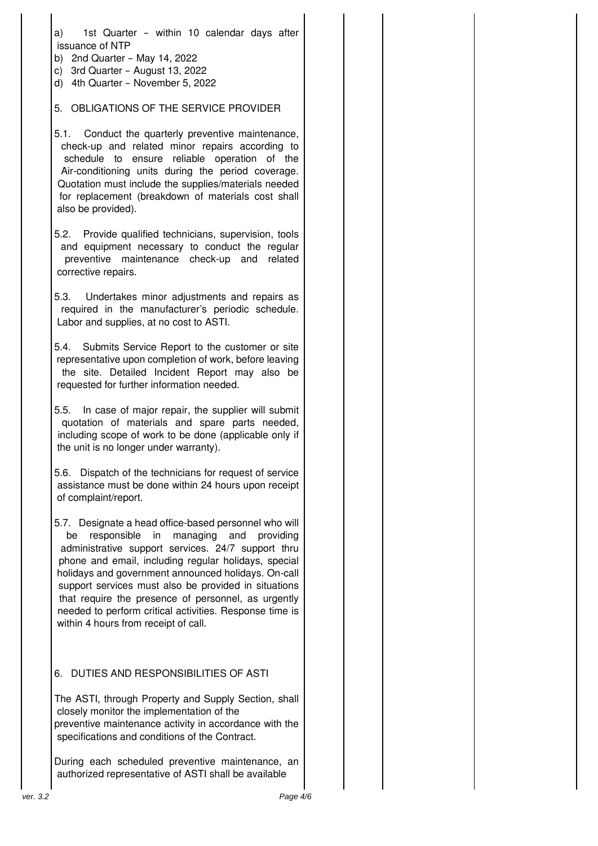a) 1st Quarter – within 10 calendar days after issuance of NTP

- b) 2nd Quarter May 14, 2022
- c) 3rd Quarter August 13, 2022
- d) 4th Quarter November 5, 2022

## 5. OBLIGATIONS OF THE SERVICE PROVIDER

- 5.1. Conduct the quarterly preventive maintenance, check-up and related minor repairs according to schedule to ensure reliable operation of the Air-conditioning units during the period coverage. Quotation must include the supplies/materials needed for replacement (breakdown of materials cost shall also be provided).
- 5.2. Provide qualified technicians, supervision, tools and equipment necessary to conduct the regular preventive maintenance check-up and related corrective repairs.
- 5.3. Undertakes minor adjustments and repairs as required in the manufacturer's periodic schedule. Labor and supplies, at no cost to ASTI.
- 5.4. Submits Service Report to the customer or site representative upon completion of work, before leaving the site. Detailed Incident Report may also be requested for further information needed.
- 5.5. In case of major repair, the supplier will submit quotation of materials and spare parts needed, including scope of work to be done (applicable only if the unit is no longer under warranty).

5.6. Dispatch of the technicians for request of service assistance must be done within 24 hours upon receipt of complaint/report.

5.7. Designate a head office-based personnel who will be responsible in managing and providing administrative support services. 24/7 support thru phone and email, including regular holidays, special holidays and government announced holidays. On-call support services must also be provided in situations that require the presence of personnel, as urgently needed to perform critical activities. Response time is within 4 hours from receipt of call.

## 6. DUTIES AND RESPONSIBILITIES OF ASTI

The ASTI, through Property and Supply Section, shall closely monitor the implementation of the preventive maintenance activity in accordance with the specifications and conditions of the Contract.

During each scheduled preventive maintenance, an authorized representative of ASTI shall be available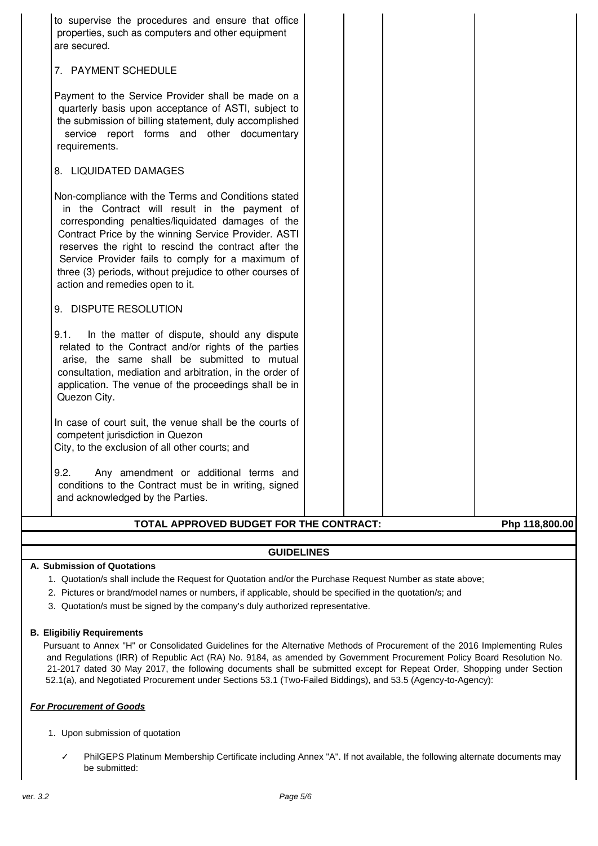| to supervise the procedures and ensure that office<br>properties, such as computers and other equipment<br>are secured.                                                                                                                                                                                                                                                                                                       |  |
|-------------------------------------------------------------------------------------------------------------------------------------------------------------------------------------------------------------------------------------------------------------------------------------------------------------------------------------------------------------------------------------------------------------------------------|--|
| 7. PAYMENT SCHEDULE                                                                                                                                                                                                                                                                                                                                                                                                           |  |
| Payment to the Service Provider shall be made on a<br>quarterly basis upon acceptance of ASTI, subject to<br>the submission of billing statement, duly accomplished<br>service report forms and other documentary<br>requirements.                                                                                                                                                                                            |  |
| 8. LIQUIDATED DAMAGES                                                                                                                                                                                                                                                                                                                                                                                                         |  |
| Non-compliance with the Terms and Conditions stated<br>in the Contract will result in the payment of<br>corresponding penalties/liquidated damages of the<br>Contract Price by the winning Service Provider. ASTI<br>reserves the right to rescind the contract after the<br>Service Provider fails to comply for a maximum of<br>three (3) periods, without prejudice to other courses of<br>action and remedies open to it. |  |
| 9. DISPUTE RESOLUTION                                                                                                                                                                                                                                                                                                                                                                                                         |  |
| 9.1.<br>In the matter of dispute, should any dispute<br>related to the Contract and/or rights of the parties<br>arise, the same shall be submitted to mutual<br>consultation, mediation and arbitration, in the order of<br>application. The venue of the proceedings shall be in<br>Quezon City.                                                                                                                             |  |
| In case of court suit, the venue shall be the courts of<br>competent jurisdiction in Quezon<br>City, to the exclusion of all other courts; and                                                                                                                                                                                                                                                                                |  |
| 9.2.<br>Any amendment or additional terms and<br>conditions to the Contract must be in writing, signed<br>and acknowledged by the Parties.                                                                                                                                                                                                                                                                                    |  |

# **TOTAL APPROVED BUDGET FOR THE CONTRACT: Php 118,800.00**

## **GUIDELINES**

### **A. Submission of Quotations**

- 1. Quotation/s shall include the Request for Quotation and/or the Purchase Request Number as state above;
- 2. Pictures or brand/model names or numbers, if applicable, should be specified in the quotation/s; and
- 3. Quotation/s must be signed by the company's duly authorized representative.

### **B. Eligibiliy Requirements**

Pursuant to Annex "H" or Consolidated Guidelines for the Alternative Methods of Procurement of the 2016 Implementing Rules and Regulations (IRR) of Republic Act (RA) No. 9184, as amended by Government Procurement Policy Board Resolution No. 21-2017 dated 30 May 2017, the following documents shall be submitted except for Repeat Order, Shopping under Section 52.1(a), and Negotiated Procurement under Sections 53.1 (Two-Failed Biddings), and 53.5 (Agency-to-Agency):

### **For Procurement of Goods**

- 1. Upon submission of quotation
	- ✓ PhilGEPS Platinum Membership Certificate including Annex "A". If not available, the following alternate documents may be submitted: